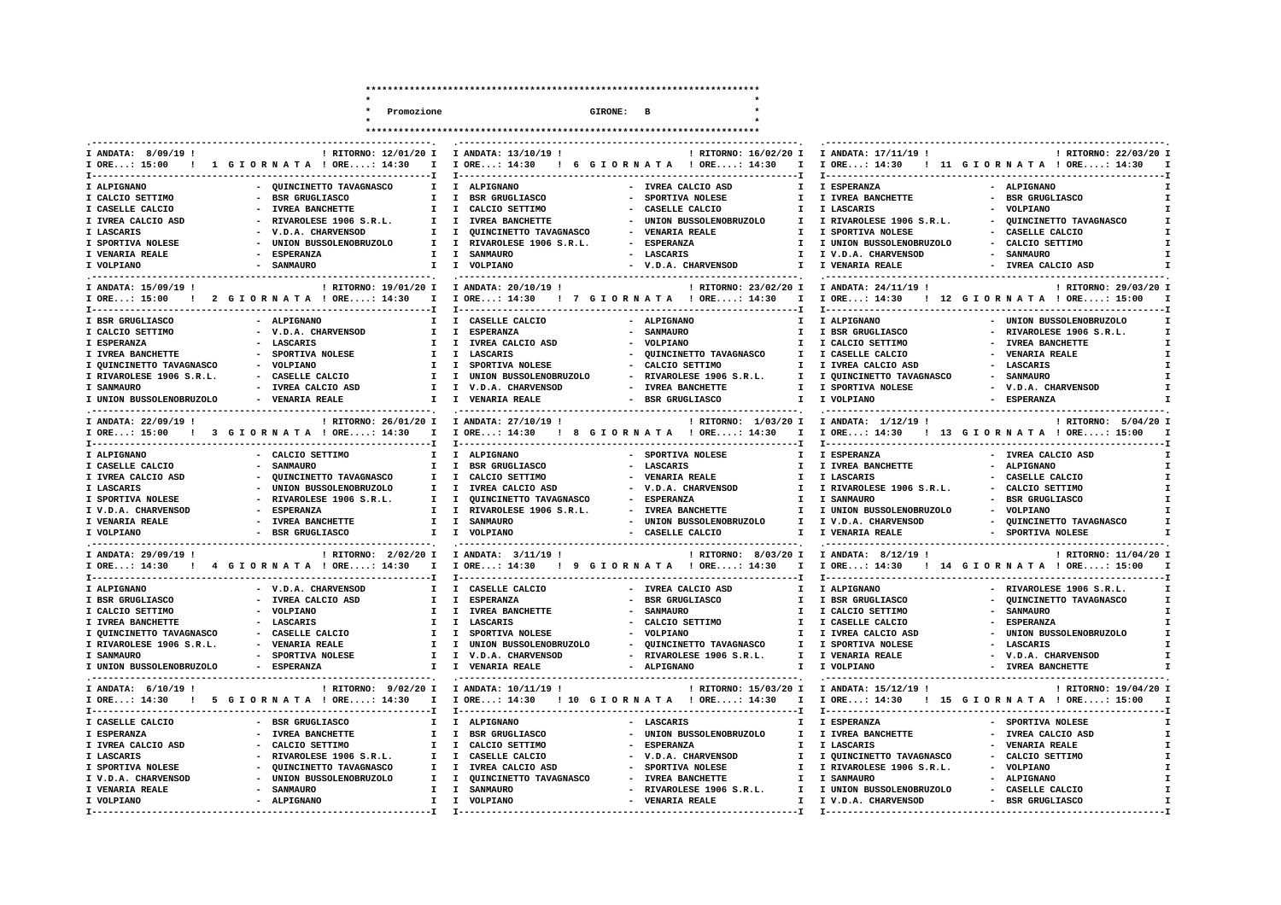|                                         | Promozione                                                                     |                                                        | GIRONE: B                                                                    |                                          |                                                         |
|-----------------------------------------|--------------------------------------------------------------------------------|--------------------------------------------------------|------------------------------------------------------------------------------|------------------------------------------|---------------------------------------------------------|
|                                         |                                                                                |                                                        |                                                                              |                                          |                                                         |
| ---------------------                   |                                                                                |                                                        |                                                                              | . ____________________                   |                                                         |
| I ANDATA: 8/09/19 !                     | ! RITORNO: 12/01/20 I                                                          | I ANDATA: 13/10/19 !                                   | ! RITORNO: 16/02/20 I                                                        | I ANDATA: 17/11/19 !                     | ! RITORNO: 22/03/20 I                                   |
| I ORE: 15:00<br><b>T---------------</b> | 1 GIORNATA ! ORE: 14:30<br>$\mathbf{I}$<br>----------------------------------- | I ORE: 14:30<br>T----------------                      | ! 6 GIORNATA ! ORE: 14:30<br>$\mathbf{I}$<br>------------------------------T | $I$ ORE: 14:30<br>T-----------------     | ! 11 GIORNATA ! ORE: 14:30                              |
| I ALPIGNANO                             | - QUINCINETTO TAVAGNASCO<br>$\mathbf{r}$                                       | I ALPIGNANO                                            | - IVREA CALCIO ASD<br>T                                                      | I ESPERANZA                              | - ALPIGNANO                                             |
| I CALCIO SETTIMO                        | <b>BSR GRUGLIASCO</b><br>$\mathbf{I}$                                          | I BSR GRUGLIASCO                                       | SPORTIVA NOLESE<br>$\mathbf{I}$                                              | I IVREA BANCHETTE                        | - BSR GRUGLIASCO                                        |
| I CASELLE CALCIO                        | <b>IVREA BANCHETTE</b><br>I.                                                   | $\mathbf{I}$<br>CALCIO SETTIMO                         | CASELLE CALCIO<br>I.                                                         | I LASCARIS                               | - VOLPIANO                                              |
| I IVREA CALCIO ASD                      | RIVAROLESE 1906 S.R.L.<br>$\mathbf{I}$                                         | <b>IVREA BANCHETTE</b><br>$\mathbf{I}$                 | UNION BUSSOLENOBRUZOLO<br>$\mathbf{I}$                                       | I RIVAROLESE 1906 S.R.L.                 | QUINCINETTO TAVAGNASCO                                  |
| I LASCARIS                              | V.D.A. CHARVENSOD<br>I.                                                        | QUINCINETTO TAVAGNASCO<br>I                            | <b>VENARIA REALE</b><br>I.                                                   | I SPORTIVA NOLESE                        | CASELLE CALCIO                                          |
| I SPORTIVA NOLESE                       | UNION BUSSOLENOBRUZOLO<br>I                                                    | $\mathbf{I}$<br>RIVAROLESE 1906 S.R.L.                 | <b>ESPERANZA</b><br><b>I</b>                                                 | I UNION BUSSOLENOBRUZOLO                 | CALCIO SETTIMO                                          |
| I VENARIA REALE                         | <b>ESPERANZA</b><br>т.                                                         | <b>SANMAIRO</b><br>$\mathbf{I}$                        | - LASCARIS<br>$\mathbf{r}$                                                   | I V.D.A. CHARVENSOD                      | - SANMAURO                                              |
| I VOLPIANO                              | <b>SANMAURO</b><br>I.                                                          | I VOLPIANO                                             | V.D.A. CHARVENSOD                                                            | I VENARIA REALE                          | IVREA CALCIO ASD                                        |
| I ANDATA: 15/09/19 !                    | ! RITORNO: 19/01/20 I                                                          | I ANDATA: 20/10/19 !                                   | ! RITORNO: 23/02/20 I                                                        | I ANDATA: 24/11/19 !                     | ! RITORNO: 29/03/20 I                                   |
| I ORE: 15:00                            | 2 GIORNATA ! ORE: 14:30<br>I                                                   | I ORE: 14:30                                           | ! 7 GIORNATA ! ORE: 14:30<br>$\mathbf{I}$                                    | I ORE: 14:30                             | ! 12 GIORNATA ! ORE: 15:00                              |
| <b>T----------------</b>                |                                                                                | T--------------------                                  |                                                                              | <b>T--------------</b>                   |                                                         |
| I BSR GRUGLIASCO                        | - ALPIGNANO<br><b>I</b>                                                        | I CASELLE CALCIO                                       | - ALPIGNANO<br><b>I</b>                                                      | I ALPIGNANO                              | - UNION BUSSOLENOBRUZOLO                                |
| I CALCIO SETTIMO                        | - V.D.A. CHARVENSOD<br>I.                                                      | $\mathbf{I}$<br><b>ESPERANZA</b>                       | <b>SANMAURO</b><br>$\mathbf{I}$                                              | I BSR GRUGLIASCO                         | - RIVAROLESE 1906 S.R.L.                                |
| I ESPERANZA                             | <b>LASCARIS</b><br>I.                                                          | $\mathbf{I}$<br>IVREA CALCIO ASD                       | VOLPIANO<br>I                                                                | I CALCIO SETTIMO                         | - IVREA BANCHETTE                                       |
| I IVREA BANCHETTE                       | SPORTIVA NOLESE<br>T                                                           | I LASCARIS                                             | QUINCINETTO TAVAGNASCO<br>$\mathbf{I}$                                       | I CASELLE CALCIO                         | - VENARIA REALE<br>$\mathbf{r}$                         |
| I OUINCINETTO TAVAGNASCO                | VOLPIANO<br><b>I</b>                                                           | SPORTIVA NOLESE<br>$\mathbf{I}$                        | CALCIO SETTIMO<br><b>I</b>                                                   | I IVREA CALCIO ASD                       | <b>LASCARIS</b>                                         |
| I RIVAROLESE 1906 S.R.L.                | CASELLE CALCIO<br><b>I</b>                                                     | I.<br>UNION BUSSOLENOBRUZOLO                           | RIVAROLESE 1906 S.R.L.<br>т.                                                 | I QUINCINETTO TAVAGNASCO                 | <b>SANMAURO</b>                                         |
| I SANMAURO                              | IVREA CALCIO ASD<br>т.                                                         | I V.D.A. CHARVENSOD                                    | - IVREA BANCHETTE<br>T                                                       | I SPORTIVA NOLESE                        | - V.D.A. CHARVENSOD<br>$\mathbf{r}$                     |
| I UNION BUSSOLENOBRUZOLO                | <b>VENARIA REALE</b><br>I.                                                     | I VENARIA REALE                                        | <b>BSR GRUGLIASCO</b>                                                        | I VOLPIANO                               | <b>ESPERANZA</b>                                        |
|                                         |                                                                                |                                                        |                                                                              |                                          |                                                         |
| I ANDATA: 22/09/19 !                    | ! RITORNO: 26/01/20 I                                                          | I ANDATA: 27/10/19 !                                   | ! RITORNO: 1/03/20 I                                                         | I ANDATA: 1/12/19 !                      | ! RITORNO: 5/04/20 I                                    |
| I ORE: 15:00                            | 3 GIORNATA ! ORE: 14:30<br>$\mathbf{I}$                                        | I ORE: 14:30                                           | ! 8 GIORNATA ! ORE: 14:30<br>$\mathbf{I}$                                    | I ORE: 14:30                             | ! 13 GIORNATA ! ORE: 15:00                              |
| T--------------                         |                                                                                |                                                        |                                                                              | <b>T---------------</b>                  |                                                         |
| I ALPIGNANO                             | - CALCIO SETTIMO<br>I.                                                         | I ALPIGNANO                                            | - SPORTIVA NOLESE<br>$\mathbf{I}$                                            | I ESPERANZA                              | - IVREA CALCIO ASD                                      |
| I CASELLE CALCIO                        | <b>SANMAURO</b><br>$\mathbf{I}$                                                | $\mathbf{I}$<br><b>BSR GRUGLIASCO</b>                  | <b>LASCARIS</b><br>T                                                         | I IVREA BANCHETTE                        | <b>ALPIGNANO</b>                                        |
| I IVREA CALCIO ASD                      | QUINCINETTO TAVAGNASCO<br>$\mathbf{I}$                                         | $\mathbf{I}$<br>CALCIO SETTIMO                         | <b>VENARIA REALE</b><br>$\mathbf{I}$                                         | I LASCARIS                               | - CASELLE CALCIO                                        |
| I LASCARIS                              | UNION BUSSOLENOBRUZOLO<br>I.                                                   | $\mathbf{I}$<br>IVREA CALCIO ASD                       | - V.D.A. CHARVENSOD<br>$\mathbf{I}$                                          | I RIVAROLESE 1906 S.R.L.                 | - CALCIO SETTIMO                                        |
| I SPORTIVA NOLESE                       | RIVAROLESE 1906 S.R.L.<br>I.                                                   | $\mathbf{I}$<br>QUINCINETTO TAVAGNASCO                 | <b>ESPERANZA</b><br><b>I</b>                                                 | I SANMAURO                               | <b>BSR GRUGLIASCO</b>                                   |
| I V.D.A. CHARVENSOD                     | <b>ESPERANZA</b><br><b>I</b>                                                   | I RIVAROLESE 1906 S.R.L.                               | <b>IVREA BANCHETTE</b><br>I.                                                 | I UNION BUSSOLENOBRUZOLO                 | - VOLPIANO                                              |
| I VENARIA REALE                         | <b>IVREA BANCHETTE</b><br>Ι.                                                   | I SANMAURO                                             | UNION BUSSOLENOBRUZOLO<br>т.                                                 | I V.D.A. CHARVENSOD                      | QUINCINETTO TAVAGNASCO                                  |
| I VOLPIANO                              | <b>BSR GRUGLIASCO</b><br><b>I</b>                                              | I VOLPIANO                                             | CASELLE CALCIO                                                               | I VENARIA REALE                          | SPORTIVA NOLESE                                         |
|                                         |                                                                                |                                                        |                                                                              |                                          |                                                         |
| I ANDATA: 29/09/19 !                    | ! RITORNO: 2/02/20 I                                                           | I ANDATA: 3/11/19 !                                    | ! RITORNO: 8/03/20 I                                                         | I ANDATA: 8/12/19 !                      | ! RITORNO: 11/04/20 I                                   |
| I ORE: 14:30                            | 4 GIORNATA ! ORE: 14:30<br>$\mathbf{I}$                                        | I ORE: 14:30                                           | ! 9 GIORNATA ! ORE: 14:30<br>$\mathbf{I}$                                    | $I$ ORE: 14:30                           | ! 14 GIORNATA ! ORE: 15:00                              |
| T----------------                       |                                                                                | T-----------------------                               |                                                                              |                                          | __________________________                              |
| I ALPIGNANO                             | - V.D.A. CHARVENSOD<br>T.                                                      | I CASELLE CALCIO                                       | - IVREA CALCIO ASD<br>T                                                      | I ALPIGNANO                              | - RIVAROLESE 1906 S.R.L.                                |
| I BSR GRUGLIASCO                        | IVREA CALCIO ASD<br>$\mathbf{I}$                                               | $\mathbf{I}$<br><b>ESPERANZA</b>                       | <b>BSR GRUGLIASCO</b><br>$\mathbf{I}$                                        | I BSR GRUGLIASCO                         | OUINCINETTO TAVAGNASCO<br>I                             |
| I CALCIO SETTIMO                        | - VOLPIANO<br>I.                                                               | I IVREA BANCHETTE                                      | <b>SANMAURO</b><br>$\mathbf{I}$                                              | I CALCIO SETTIMO                         | - SANMAURO<br>$\mathbf{I}$                              |
| I IVREA BANCHETTE                       | LASCARIS<br>$\mathbf{r}$                                                       | <b>LASCARIS</b><br>T                                   | CALCIO SETTIMO<br>$\mathbf{I}$                                               | I CASELLE CALCIO                         | <b>ESPERANZA</b><br>I                                   |
| I QUINCINETTO TAVAGNASCO                | CASELLE CALCIO<br><b>I</b>                                                     | $\mathbf{I}$<br>SPORTIVA NOLESE                        | VOLPIANO<br><b>I</b>                                                         | I IVREA CALCIO ASD                       | UNION BUSSOLENOBRUZOLO                                  |
| I RIVAROLESE 1906 S.R.L.                | <b>VENARIA REALE</b>                                                           | $\mathbf{I}$<br>UNION BUSSOLENOBRUZOLO                 | QUINCINETTO TAVAGNASCO<br>I                                                  | I SPORTIVA NOLESE                        | <b>LASCARIS</b>                                         |
| I SANMAURO                              | SPORTIVA NOLESE<br>Ι.                                                          | I V.D.A. CHARVENSOD                                    | RIVAROLESE 1906 S.R.L.<br>$\mathbf{I}$                                       | I VENARIA REALE                          | - V.D.A. CHARVENSOD<br>$\mathbf{I}$                     |
| I UNION BUSSOLENOBRUZOLO                | <b>ESPERANZA</b><br>I.                                                         | I VENARIA REALE                                        | <b>ALPIGNANO</b><br>I.                                                       | I VOLPIANO                               | <b>IVREA BANCHETTE</b>                                  |
|                                         |                                                                                |                                                        | ----------------------------                                                 |                                          | ______________________________                          |
| I ANDATA: 6/10/19 !                     | ! RITORNO: 9/02/20 I                                                           | I ANDATA: 10/11/19 !                                   | ! RITORNO: 15/03/20 I                                                        | I ANDATA: 15/12/19 !                     | ! RITORNO: 19/04/20 I                                   |
| . .                                     | T                                                                              |                                                        | T                                                                            |                                          |                                                         |
| I ORE: 14:30<br>T-----------------      | 5 GIORNATA ! ORE: 14:30                                                        | I ORE: 14:30<br><b>T----------------</b>               | ! 10 GIORNATA ! ORE: 14:30                                                   | I ORE: 14:30<br><b>T--------------</b> - | ! 15 GIORNATA ! ORE: 15:00<br>------------------------- |
| I CASELLE CALCIO                        | - BSR GRUGLIASCO<br>T.                                                         | I ALPIGNANO                                            | - LASCARIS<br>T                                                              | I ESPERANZA                              | - SPORTIVA NOLESE                                       |
| I ESPERANZA                             | <b>IVREA BANCHETTE</b><br>$\mathbf{I}$                                         | <b>BSR GRUGLIASCO</b><br>$\mathbf{I}$                  | UNION BUSSOLENOBRUZOLO<br>$\mathbf{I}$                                       | I IVREA BANCHETTE                        | IVREA CALCIO ASD                                        |
|                                         |                                                                                |                                                        |                                                                              |                                          |                                                         |
| I IVREA CALCIO ASD<br>I LASCARIS        | CALCIO SETTIMO<br>I.<br>$\mathbf{I}$                                           | I.<br>CALCIO SETTIMO<br>CASELLE CALCIO<br>$\mathbf{I}$ | <b>ESPERANZA</b><br>I.<br>V.D.A. CHARVENSOD<br>$\mathbf{I}$                  | I LASCARIS<br>I QUINCINETTO TAVAGNASCO   | <b>VENARIA REALE</b><br>CALCIO SETTIMO                  |
|                                         | RIVAROLESE 1906 S.R.L.                                                         |                                                        |                                                                              |                                          |                                                         |
| I SPORTIVA NOLESE                       | QUINCINETTO TAVAGNASCO<br>I.                                                   | $\mathbf{I}$<br>IVREA CALCIO ASD                       | SPORTIVA NOLESE<br>$\mathbf{I}$                                              | I RIVAROLESE 1906 S.R.L.                 | - VOLPIANO                                              |
| I V.D.A. CHARVENSOD                     | UNION BUSSOLENOBRUZOLO<br>I.                                                   | $\mathbf{I}$<br>QUINCINETTO TAVAGNASCO                 | <b>IVREA BANCHETTE</b><br>$\mathbf{I}$                                       | <b>I SANMAURO</b>                        | <b>ALPIGNANO</b>                                        |
| I VENARIA REALE                         | <b>SANMAURO</b><br>$\mathbf{I}$                                                | <b>I SANMAURO</b>                                      | RIVAROLESE 1906 S.R.L.<br>$\mathbf{I}$                                       | I UNION BUSSOLENOBRUZOLO                 | - CASELLE CALCIO                                        |
| I VOLPIANO                              | <b>ALPIGNANO</b><br>I.                                                         | I VOLPIANO                                             | <b>VENARIA REALE</b><br>I.                                                   | I V.D.A. CHARVENSOD                      | - BSR GRUGLIASCO<br>I                                   |
| I-----------------                      | .----------------------------                                                  | ______________________                                 | -- I                                                                         | I-----------------                       |                                                         |

**\*\*\*\*\*\*\*\*\*\*\*\*\*\*\*\*\*\*\*\*\*\*\*\*\*\*\*\*\*\*\*\*\*\*\*\*\*\*\*\*\*\*\*\*\*\*\*\*\*\*\*\*\*\*\*\*\*\*\*\*\*\*\*\*\*\*\*\*\*\*\*\***